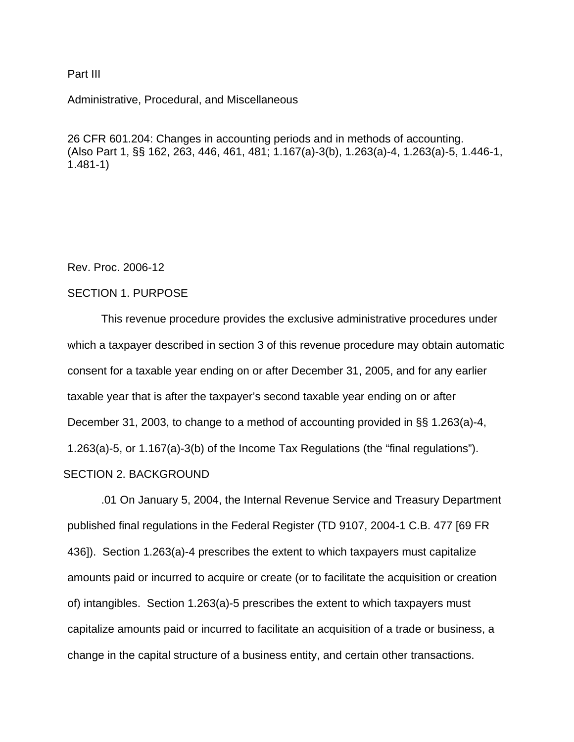#### Part III

Administrative, Procedural, and Miscellaneous

26 CFR 601.204: Changes in accounting periods and in methods of accounting. (Also Part 1, §§ 162, 263, 446, 461, 481; 1.167(a)-3(b), 1.263(a)-4, 1.263(a)-5, 1.446-1, 1.481-1)

Rev. Proc. 2006-12

# SECTION 1. PURPOSE

This revenue procedure provides the exclusive administrative procedures under which a taxpayer described in section 3 of this revenue procedure may obtain automatic consent for a taxable year ending on or after December 31, 2005, and for any earlier taxable year that is after the taxpayer's second taxable year ending on or after December 31, 2003, to change to a method of accounting provided in §§ 1.263(a)-4, 1.263(a)-5, or 1.167(a)-3(b) of the Income Tax Regulations (the "final regulations"). SECTION 2. BACKGROUND

.01 On January 5, 2004, the Internal Revenue Service and Treasury Department published final regulations in the Federal Register (TD 9107, 2004-1 C.B. 477 [69 FR 436]). Section 1.263(a)-4 prescribes the extent to which taxpayers must capitalize amounts paid or incurred to acquire or create (or to facilitate the acquisition or creation of) intangibles. Section 1.263(a)-5 prescribes the extent to which taxpayers must capitalize amounts paid or incurred to facilitate an acquisition of a trade or business, a change in the capital structure of a business entity, and certain other transactions.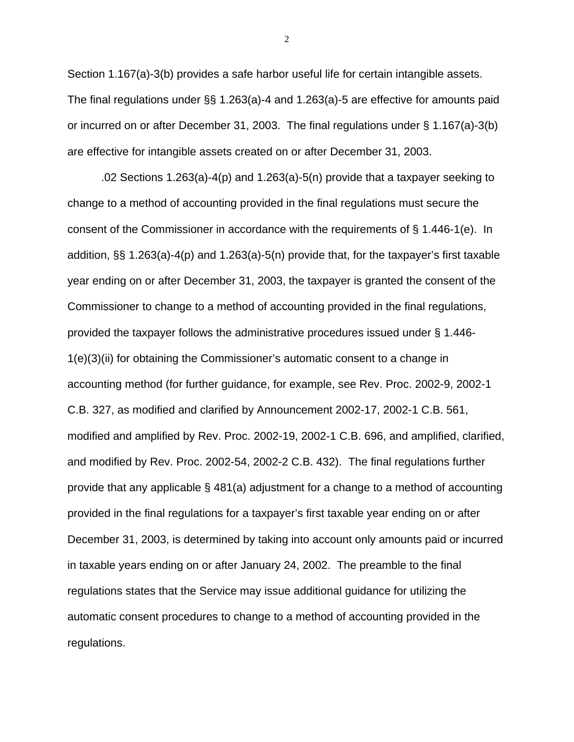Section 1.167(a)-3(b) provides a safe harbor useful life for certain intangible assets. The final regulations under §§ 1.263(a)-4 and 1.263(a)-5 are effective for amounts paid or incurred on or after December 31, 2003. The final regulations under § 1.167(a)-3(b) are effective for intangible assets created on or after December 31, 2003.

.02 Sections 1.263(a)-4(p) and 1.263(a)-5(n) provide that a taxpayer seeking to change to a method of accounting provided in the final regulations must secure the consent of the Commissioner in accordance with the requirements of § 1.446-1(e). In addition, §§ 1.263(a)-4(p) and 1.263(a)-5(n) provide that, for the taxpayer's first taxable year ending on or after December 31, 2003, the taxpayer is granted the consent of the Commissioner to change to a method of accounting provided in the final regulations, provided the taxpayer follows the administrative procedures issued under § 1.446- 1(e)(3)(ii) for obtaining the Commissioner's automatic consent to a change in accounting method (for further guidance, for example, see Rev. Proc. 2002-9, 2002-1 C.B. 327, as modified and clarified by Announcement 2002-17, 2002-1 C.B. 561, modified and amplified by Rev. Proc. 2002-19, 2002-1 C.B. 696, and amplified, clarified, and modified by Rev. Proc. 2002-54, 2002-2 C.B. 432). The final regulations further provide that any applicable § 481(a) adjustment for a change to a method of accounting provided in the final regulations for a taxpayer's first taxable year ending on or after December 31, 2003, is determined by taking into account only amounts paid or incurred in taxable years ending on or after January 24, 2002. The preamble to the final regulations states that the Service may issue additional guidance for utilizing the automatic consent procedures to change to a method of accounting provided in the regulations.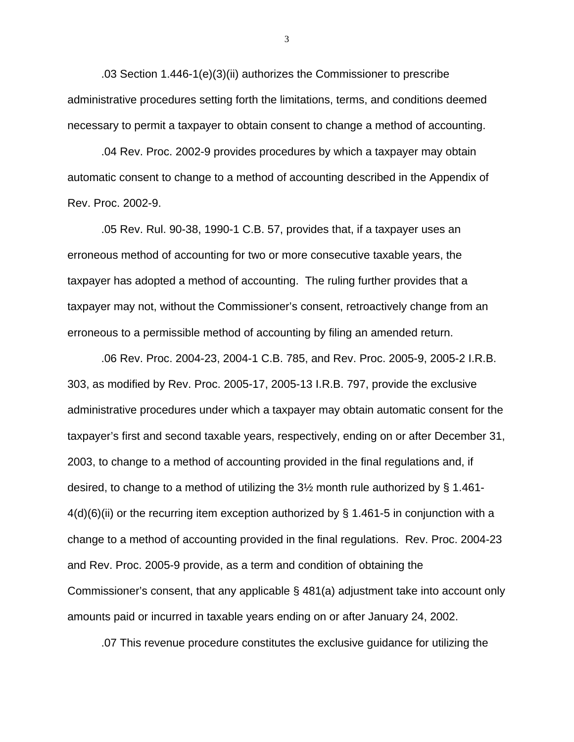.03 Section 1.446-1(e)(3)(ii) authorizes the Commissioner to prescribe administrative procedures setting forth the limitations, terms, and conditions deemed necessary to permit a taxpayer to obtain consent to change a method of accounting.

.04 Rev. Proc. 2002-9 provides procedures by which a taxpayer may obtain automatic consent to change to a method of accounting described in the Appendix of Rev. Proc. 2002-9.

.05 Rev. Rul. 90-38, 1990-1 C.B. 57, provides that, if a taxpayer uses an erroneous method of accounting for two or more consecutive taxable years, the taxpayer has adopted a method of accounting. The ruling further provides that a taxpayer may not, without the Commissioner's consent, retroactively change from an erroneous to a permissible method of accounting by filing an amended return.

.06 Rev. Proc. 2004-23, 2004-1 C.B. 785, and Rev. Proc. 2005-9, 2005-2 I.R.B. 303, as modified by Rev. Proc. 2005-17, 2005-13 I.R.B. 797, provide the exclusive administrative procedures under which a taxpayer may obtain automatic consent for the taxpayer's first and second taxable years, respectively, ending on or after December 31, 2003, to change to a method of accounting provided in the final regulations and, if desired, to change to a method of utilizing the 3½ month rule authorized by § 1.461-  $4(d)(6)(ii)$  or the recurring item exception authorized by § 1.461-5 in conjunction with a change to a method of accounting provided in the final regulations. Rev. Proc. 2004-23 and Rev. Proc. 2005-9 provide, as a term and condition of obtaining the Commissioner's consent, that any applicable § 481(a) adjustment take into account only amounts paid or incurred in taxable years ending on or after January 24, 2002.

.07 This revenue procedure constitutes the exclusive guidance for utilizing the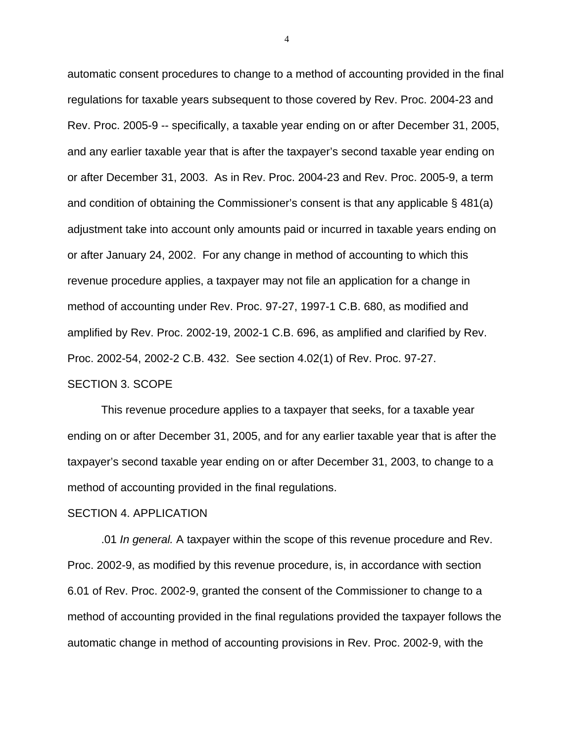automatic consent procedures to change to a method of accounting provided in the final regulations for taxable years subsequent to those covered by Rev. Proc. 2004-23 and Rev. Proc. 2005-9 -- specifically, a taxable year ending on or after December 31, 2005, and any earlier taxable year that is after the taxpayer's second taxable year ending on or after December 31, 2003. As in Rev. Proc. 2004-23 and Rev. Proc. 2005-9, a term and condition of obtaining the Commissioner's consent is that any applicable § 481(a) adjustment take into account only amounts paid or incurred in taxable years ending on or after January 24, 2002. For any change in method of accounting to which this revenue procedure applies, a taxpayer may not file an application for a change in method of accounting under Rev. Proc. 97-27, 1997-1 C.B. 680, as modified and amplified by Rev. Proc. 2002-19, 2002-1 C.B. 696, as amplified and clarified by Rev. Proc. 2002-54, 2002-2 C.B. 432. See section 4.02(1) of Rev. Proc. 97-27. SECTION 3. SCOPE

This revenue procedure applies to a taxpayer that seeks, for a taxable year ending on or after December 31, 2005, and for any earlier taxable year that is after the taxpayer's second taxable year ending on or after December 31, 2003, to change to a method of accounting provided in the final regulations.

#### SECTION 4. APPLICATION

.01 *In general.* A taxpayer within the scope of this revenue procedure and Rev. Proc. 2002-9, as modified by this revenue procedure, is, in accordance with section 6.01 of Rev. Proc. 2002-9, granted the consent of the Commissioner to change to a method of accounting provided in the final regulations provided the taxpayer follows the automatic change in method of accounting provisions in Rev. Proc. 2002-9, with the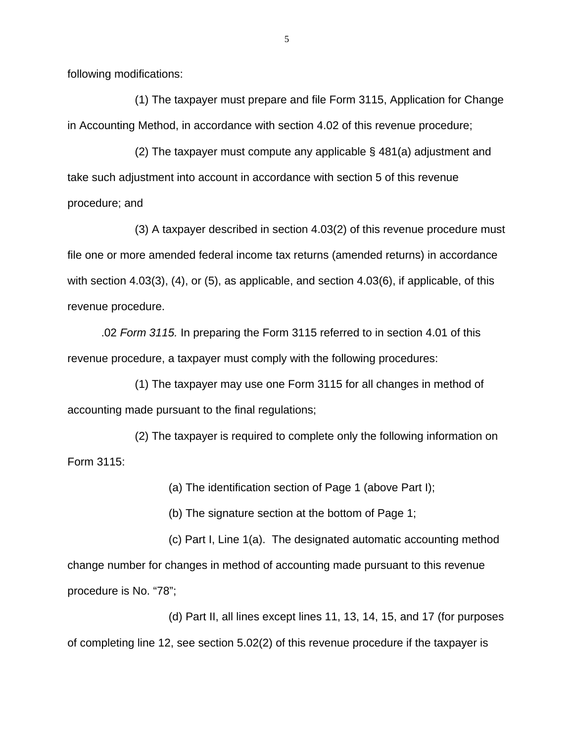following modifications:

 (1) The taxpayer must prepare and file Form 3115, Application for Change in Accounting Method, in accordance with section 4.02 of this revenue procedure;

 (2) The taxpayer must compute any applicable § 481(a) adjustment and take such adjustment into account in accordance with section 5 of this revenue procedure; and

 (3) A taxpayer described in section 4.03(2) of this revenue procedure must file one or more amended federal income tax returns (amended returns) in accordance with section 4.03(3), (4), or (5), as applicable, and section 4.03(6), if applicable, of this revenue procedure.

.02 *Form 3115.* In preparing the Form 3115 referred to in section 4.01 of this revenue procedure, a taxpayer must comply with the following procedures:

 (1) The taxpayer may use one Form 3115 for all changes in method of accounting made pursuant to the final regulations;

(2) The taxpayer is required to complete only the following information on Form 3115:

(a) The identification section of Page 1 (above Part I);

(b) The signature section at the bottom of Page 1;

 (c) Part I, Line 1(a). The designated automatic accounting method change number for changes in method of accounting made pursuant to this revenue procedure is No. "78";

 (d) Part II, all lines except lines 11, 13, 14, 15, and 17 (for purposes of completing line 12, see section 5.02(2) of this revenue procedure if the taxpayer is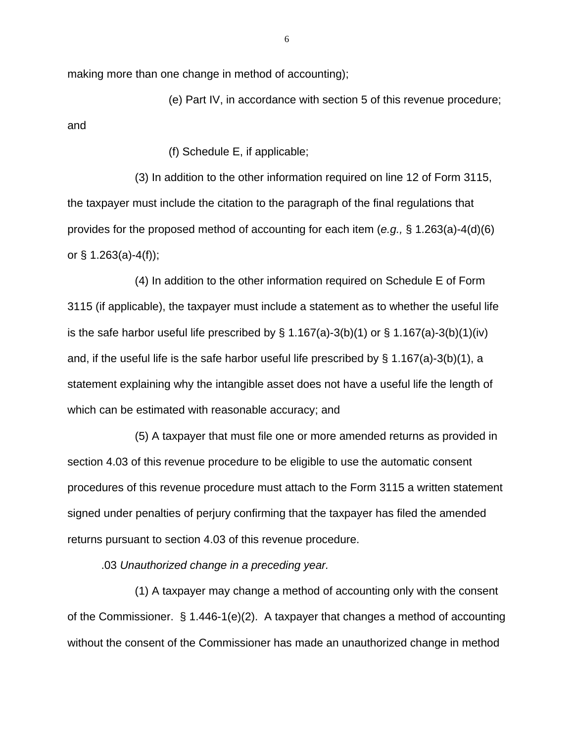making more than one change in method of accounting);

 (e) Part IV, in accordance with section 5 of this revenue procedure; and

(f) Schedule E, if applicable;

 (3) In addition to the other information required on line 12 of Form 3115, the taxpayer must include the citation to the paragraph of the final regulations that provides for the proposed method of accounting for each item (*e.g.,* § 1.263(a)-4(d)(6) or § 1.263(a)-4(f));

 (4) In addition to the other information required on Schedule E of Form 3115 (if applicable), the taxpayer must include a statement as to whether the useful life is the safe harbor useful life prescribed by  $\S$  1.167(a)-3(b)(1) or  $\S$  1.167(a)-3(b)(1)(iv) and, if the useful life is the safe harbor useful life prescribed by § 1.167(a)-3(b)(1), a statement explaining why the intangible asset does not have a useful life the length of which can be estimated with reasonable accuracy; and

 (5) A taxpayer that must file one or more amended returns as provided in section 4.03 of this revenue procedure to be eligible to use the automatic consent procedures of this revenue procedure must attach to the Form 3115 a written statement signed under penalties of perjury confirming that the taxpayer has filed the amended returns pursuant to section 4.03 of this revenue procedure.

.03 *Unauthorized change in a preceding year.*

(1) A taxpayer may change a method of accounting only with the consent of the Commissioner. § 1.446-1(e)(2). A taxpayer that changes a method of accounting without the consent of the Commissioner has made an unauthorized change in method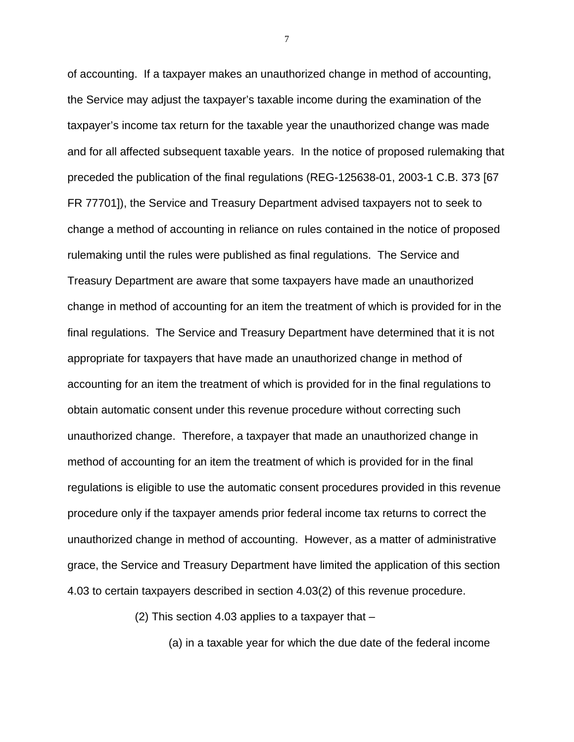of accounting. If a taxpayer makes an unauthorized change in method of accounting, the Service may adjust the taxpayer's taxable income during the examination of the taxpayer's income tax return for the taxable year the unauthorized change was made and for all affected subsequent taxable years. In the notice of proposed rulemaking that preceded the publication of the final regulations (REG-125638-01, 2003-1 C.B. 373 [67 FR 77701]), the Service and Treasury Department advised taxpayers not to seek to change a method of accounting in reliance on rules contained in the notice of proposed rulemaking until the rules were published as final regulations. The Service and Treasury Department are aware that some taxpayers have made an unauthorized change in method of accounting for an item the treatment of which is provided for in the final regulations. The Service and Treasury Department have determined that it is not appropriate for taxpayers that have made an unauthorized change in method of accounting for an item the treatment of which is provided for in the final regulations to obtain automatic consent under this revenue procedure without correcting such unauthorized change. Therefore, a taxpayer that made an unauthorized change in method of accounting for an item the treatment of which is provided for in the final regulations is eligible to use the automatic consent procedures provided in this revenue procedure only if the taxpayer amends prior federal income tax returns to correct the unauthorized change in method of accounting. However, as a matter of administrative grace, the Service and Treasury Department have limited the application of this section 4.03 to certain taxpayers described in section 4.03(2) of this revenue procedure.

(2) This section 4.03 applies to a taxpayer that –

(a) in a taxable year for which the due date of the federal income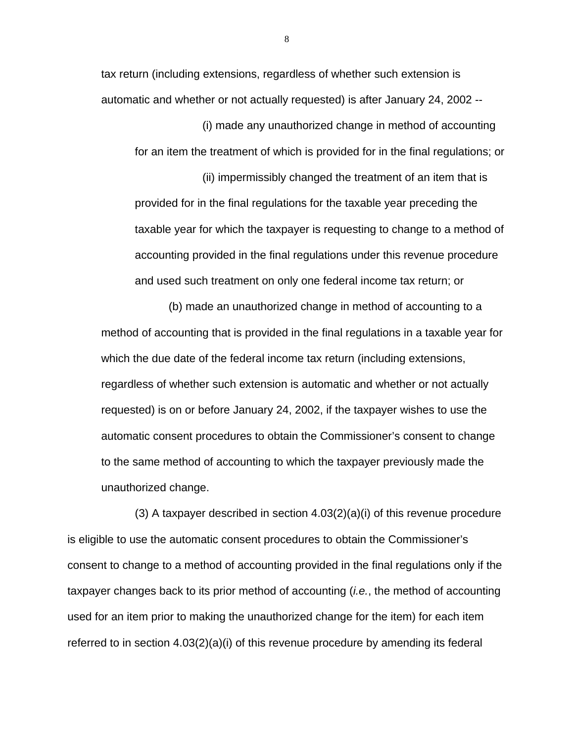tax return (including extensions, regardless of whether such extension is automatic and whether or not actually requested) is after January 24, 2002 --

(i) made any unauthorized change in method of accounting for an item the treatment of which is provided for in the final regulations; or

(ii) impermissibly changed the treatment of an item that is provided for in the final regulations for the taxable year preceding the taxable year for which the taxpayer is requesting to change to a method of accounting provided in the final regulations under this revenue procedure and used such treatment on only one federal income tax return; or

(b) made an unauthorized change in method of accounting to a method of accounting that is provided in the final regulations in a taxable year for which the due date of the federal income tax return (including extensions, regardless of whether such extension is automatic and whether or not actually requested) is on or before January 24, 2002, if the taxpayer wishes to use the automatic consent procedures to obtain the Commissioner's consent to change to the same method of accounting to which the taxpayer previously made the unauthorized change.

(3) A taxpayer described in section 4.03(2)(a)(i) of this revenue procedure is eligible to use the automatic consent procedures to obtain the Commissioner's consent to change to a method of accounting provided in the final regulations only if the taxpayer changes back to its prior method of accounting (*i.e.*, the method of accounting used for an item prior to making the unauthorized change for the item) for each item referred to in section  $4.03(2)(a)(i)$  of this revenue procedure by amending its federal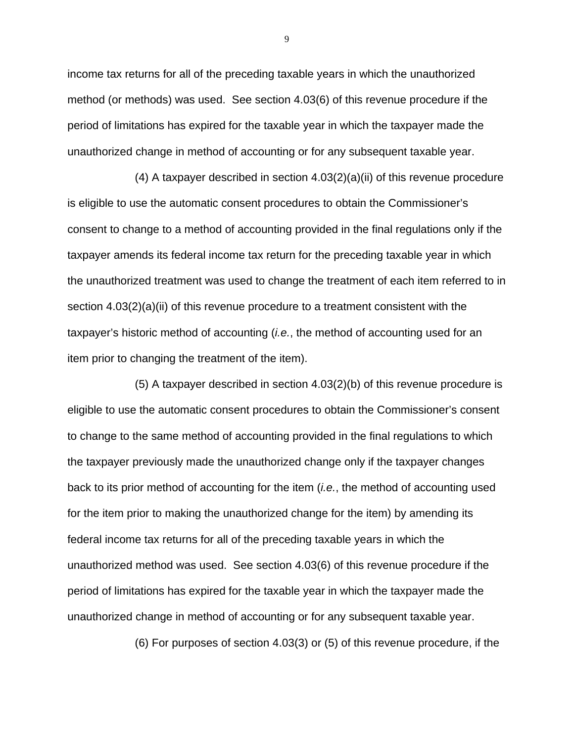income tax returns for all of the preceding taxable years in which the unauthorized method (or methods) was used. See section 4.03(6) of this revenue procedure if the period of limitations has expired for the taxable year in which the taxpayer made the unauthorized change in method of accounting or for any subsequent taxable year.

(4) A taxpayer described in section  $4.03(2)(a)(ii)$  of this revenue procedure is eligible to use the automatic consent procedures to obtain the Commissioner's consent to change to a method of accounting provided in the final regulations only if the taxpayer amends its federal income tax return for the preceding taxable year in which the unauthorized treatment was used to change the treatment of each item referred to in section 4.03(2)(a)(ii) of this revenue procedure to a treatment consistent with the taxpayer's historic method of accounting (*i.e.*, the method of accounting used for an item prior to changing the treatment of the item).

(5) A taxpayer described in section 4.03(2)(b) of this revenue procedure is eligible to use the automatic consent procedures to obtain the Commissioner's consent to change to the same method of accounting provided in the final regulations to which the taxpayer previously made the unauthorized change only if the taxpayer changes back to its prior method of accounting for the item (*i.e.*, the method of accounting used for the item prior to making the unauthorized change for the item) by amending its federal income tax returns for all of the preceding taxable years in which the unauthorized method was used. See section 4.03(6) of this revenue procedure if the period of limitations has expired for the taxable year in which the taxpayer made the unauthorized change in method of accounting or for any subsequent taxable year.

(6) For purposes of section 4.03(3) or (5) of this revenue procedure, if the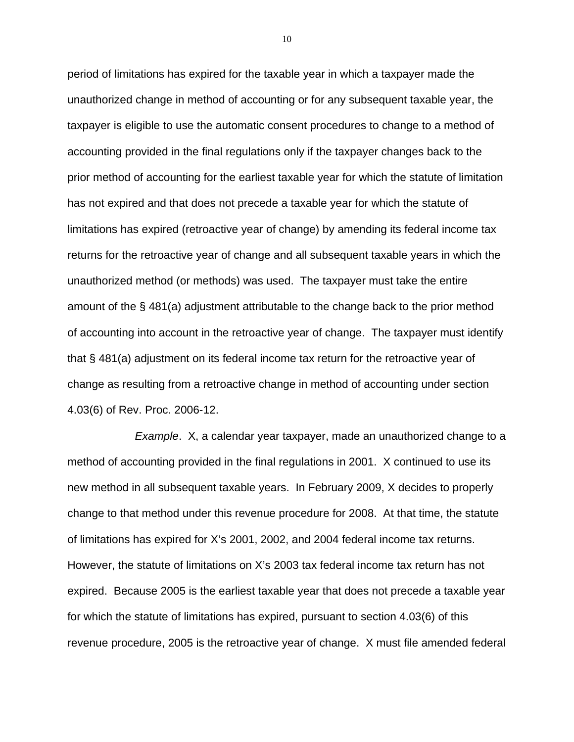period of limitations has expired for the taxable year in which a taxpayer made the unauthorized change in method of accounting or for any subsequent taxable year, the taxpayer is eligible to use the automatic consent procedures to change to a method of accounting provided in the final regulations only if the taxpayer changes back to the prior method of accounting for the earliest taxable year for which the statute of limitation has not expired and that does not precede a taxable year for which the statute of limitations has expired (retroactive year of change) by amending its federal income tax returns for the retroactive year of change and all subsequent taxable years in which the unauthorized method (or methods) was used. The taxpayer must take the entire amount of the § 481(a) adjustment attributable to the change back to the prior method of accounting into account in the retroactive year of change. The taxpayer must identify that § 481(a) adjustment on its federal income tax return for the retroactive year of change as resulting from a retroactive change in method of accounting under section 4.03(6) of Rev. Proc. 2006-12.

*Example*. X, a calendar year taxpayer, made an unauthorized change to a method of accounting provided in the final regulations in 2001. X continued to use its new method in all subsequent taxable years. In February 2009, X decides to properly change to that method under this revenue procedure for 2008. At that time, the statute of limitations has expired for X's 2001, 2002, and 2004 federal income tax returns. However, the statute of limitations on X's 2003 tax federal income tax return has not expired. Because 2005 is the earliest taxable year that does not precede a taxable year for which the statute of limitations has expired, pursuant to section 4.03(6) of this revenue procedure, 2005 is the retroactive year of change. X must file amended federal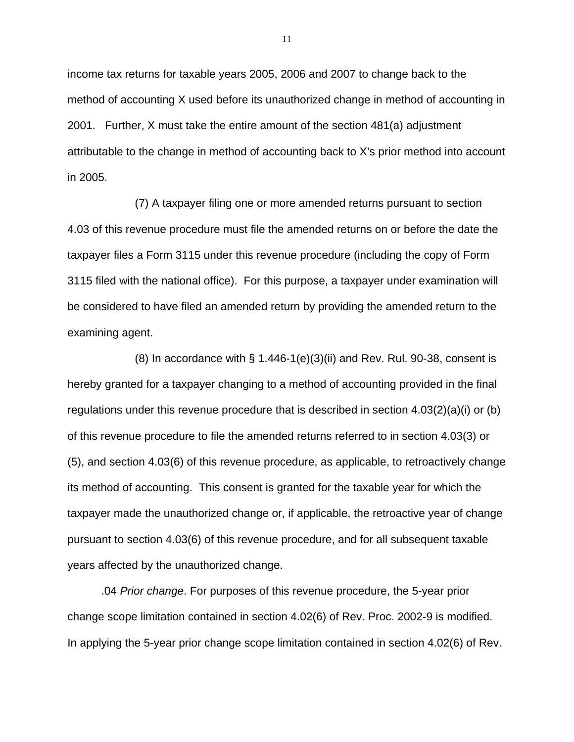income tax returns for taxable years 2005, 2006 and 2007 to change back to the method of accounting X used before its unauthorized change in method of accounting in 2001. Further, X must take the entire amount of the section 481(a) adjustment attributable to the change in method of accounting back to X's prior method into account in 2005.

(7) A taxpayer filing one or more amended returns pursuant to section 4.03 of this revenue procedure must file the amended returns on or before the date the taxpayer files a Form 3115 under this revenue procedure (including the copy of Form 3115 filed with the national office). For this purpose, a taxpayer under examination will be considered to have filed an amended return by providing the amended return to the examining agent.

(8) In accordance with § 1.446-1(e)(3)(ii) and Rev. Rul. 90-38, consent is hereby granted for a taxpayer changing to a method of accounting provided in the final regulations under this revenue procedure that is described in section 4.03(2)(a)(i) or (b) of this revenue procedure to file the amended returns referred to in section 4.03(3) or (5), and section 4.03(6) of this revenue procedure, as applicable, to retroactively change its method of accounting. This consent is granted for the taxable year for which the taxpayer made the unauthorized change or, if applicable, the retroactive year of change pursuant to section 4.03(6) of this revenue procedure, and for all subsequent taxable years affected by the unauthorized change.

 .04 *Prior change*. For purposes of this revenue procedure, the 5-year prior change scope limitation contained in section 4.02(6) of Rev. Proc. 2002-9 is modified. In applying the 5-year prior change scope limitation contained in section 4.02(6) of Rev.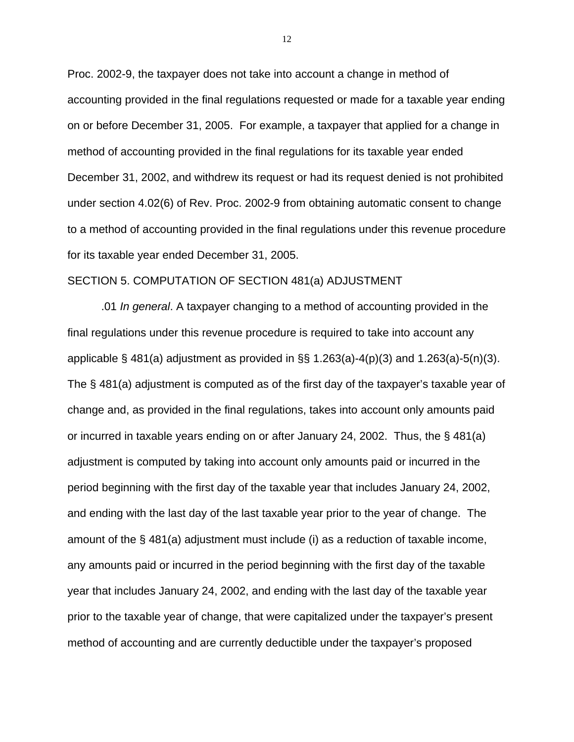Proc. 2002-9, the taxpayer does not take into account a change in method of accounting provided in the final regulations requested or made for a taxable year ending on or before December 31, 2005. For example, a taxpayer that applied for a change in method of accounting provided in the final regulations for its taxable year ended December 31, 2002, and withdrew its request or had its request denied is not prohibited under section 4.02(6) of Rev. Proc. 2002-9 from obtaining automatic consent to change to a method of accounting provided in the final regulations under this revenue procedure for its taxable year ended December 31, 2005.

#### SECTION 5. COMPUTATION OF SECTION 481(a) ADJUSTMENT

.01 *In general*. A taxpayer changing to a method of accounting provided in the final regulations under this revenue procedure is required to take into account any applicable  $\S$  481(a) adjustment as provided in  $\S$ § 1.263(a)-4(p)(3) and 1.263(a)-5(n)(3). The § 481(a) adjustment is computed as of the first day of the taxpayer's taxable year of change and, as provided in the final regulations, takes into account only amounts paid or incurred in taxable years ending on or after January 24, 2002. Thus, the § 481(a) adjustment is computed by taking into account only amounts paid or incurred in the period beginning with the first day of the taxable year that includes January 24, 2002, and ending with the last day of the last taxable year prior to the year of change. The amount of the § 481(a) adjustment must include (i) as a reduction of taxable income, any amounts paid or incurred in the period beginning with the first day of the taxable year that includes January 24, 2002, and ending with the last day of the taxable year prior to the taxable year of change, that were capitalized under the taxpayer's present method of accounting and are currently deductible under the taxpayer's proposed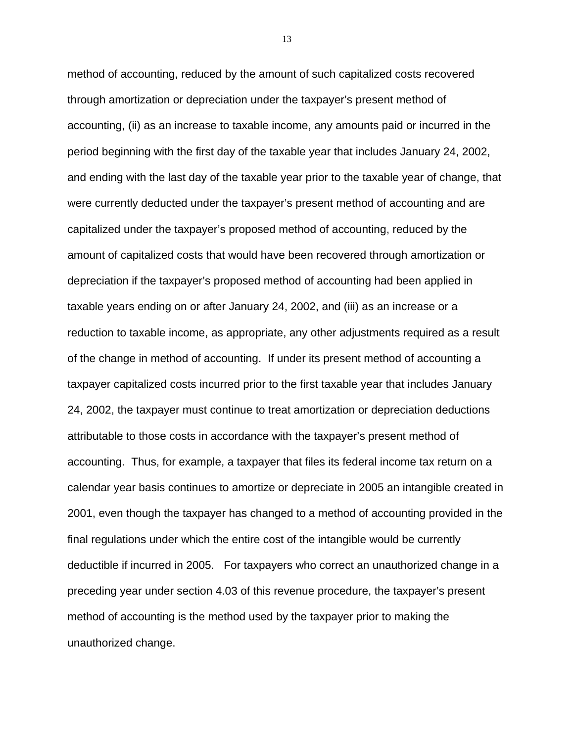method of accounting, reduced by the amount of such capitalized costs recovered through amortization or depreciation under the taxpayer's present method of accounting, (ii) as an increase to taxable income, any amounts paid or incurred in the period beginning with the first day of the taxable year that includes January 24, 2002, and ending with the last day of the taxable year prior to the taxable year of change, that were currently deducted under the taxpayer's present method of accounting and are capitalized under the taxpayer's proposed method of accounting, reduced by the amount of capitalized costs that would have been recovered through amortization or depreciation if the taxpayer's proposed method of accounting had been applied in taxable years ending on or after January 24, 2002, and (iii) as an increase or a reduction to taxable income, as appropriate, any other adjustments required as a result of the change in method of accounting. If under its present method of accounting a taxpayer capitalized costs incurred prior to the first taxable year that includes January 24, 2002, the taxpayer must continue to treat amortization or depreciation deductions attributable to those costs in accordance with the taxpayer's present method of accounting. Thus, for example, a taxpayer that files its federal income tax return on a calendar year basis continues to amortize or depreciate in 2005 an intangible created in 2001, even though the taxpayer has changed to a method of accounting provided in the final regulations under which the entire cost of the intangible would be currently deductible if incurred in 2005. For taxpayers who correct an unauthorized change in a preceding year under section 4.03 of this revenue procedure, the taxpayer's present method of accounting is the method used by the taxpayer prior to making the unauthorized change.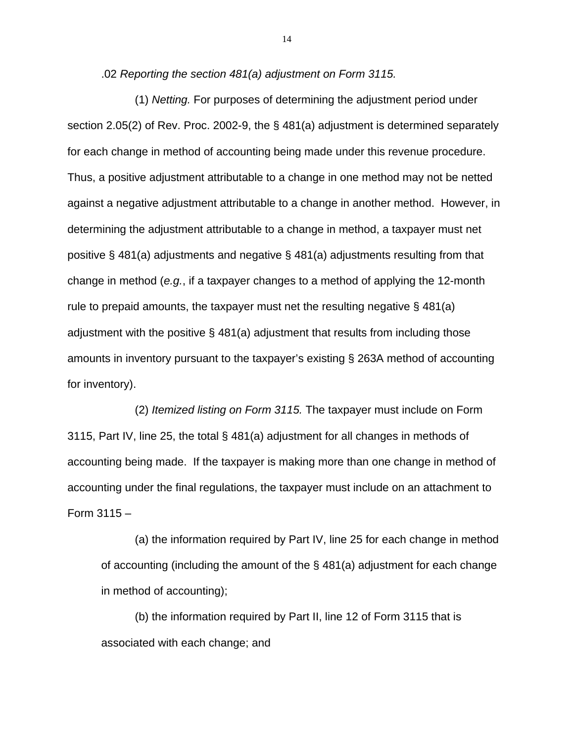.02 *Reporting the section 481(a) adjustment on Form 3115.*

 (1) *Netting.* For purposes of determining the adjustment period under section 2.05(2) of Rev. Proc. 2002-9, the § 481(a) adjustment is determined separately for each change in method of accounting being made under this revenue procedure. Thus, a positive adjustment attributable to a change in one method may not be netted against a negative adjustment attributable to a change in another method. However, in determining the adjustment attributable to a change in method, a taxpayer must net positive § 481(a) adjustments and negative § 481(a) adjustments resulting from that change in method (*e.g.*, if a taxpayer changes to a method of applying the 12-month rule to prepaid amounts, the taxpayer must net the resulting negative  $\S$  481(a) adjustment with the positive § 481(a) adjustment that results from including those amounts in inventory pursuant to the taxpayer's existing § 263A method of accounting for inventory).

 (2) *Itemized listing on Form 3115.* The taxpayer must include on Form 3115, Part IV, line 25, the total § 481(a) adjustment for all changes in methods of accounting being made. If the taxpayer is making more than one change in method of accounting under the final regulations, the taxpayer must include on an attachment to Form 3115 –

(a) the information required by Part IV, line 25 for each change in method of accounting (including the amount of the § 481(a) adjustment for each change in method of accounting);

(b) the information required by Part II, line 12 of Form 3115 that is associated with each change; and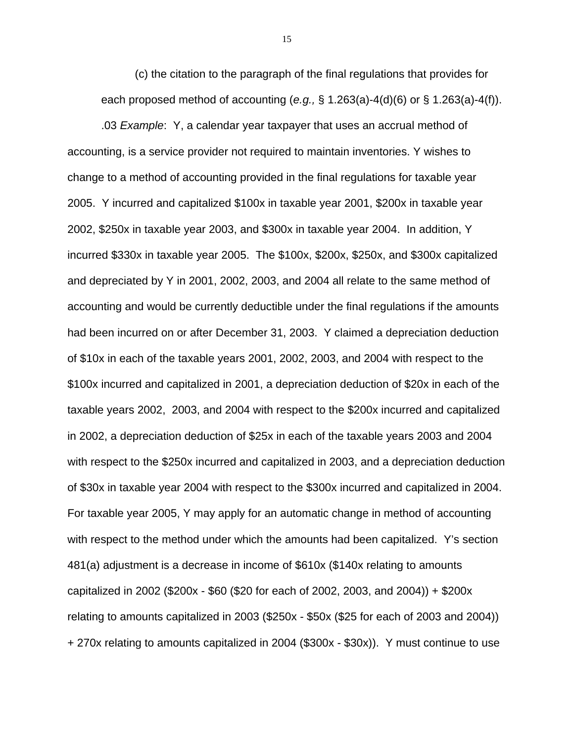(c) the citation to the paragraph of the final regulations that provides for each proposed method of accounting (*e.g.,* § 1.263(a)-4(d)(6) or § 1.263(a)-4(f)).

.03 *Example*: Y, a calendar year taxpayer that uses an accrual method of accounting, is a service provider not required to maintain inventories. Y wishes to change to a method of accounting provided in the final regulations for taxable year 2005. Y incurred and capitalized \$100x in taxable year 2001, \$200x in taxable year 2002, \$250x in taxable year 2003, and \$300x in taxable year 2004. In addition, Y incurred \$330x in taxable year 2005. The \$100x, \$200x, \$250x, and \$300x capitalized and depreciated by Y in 2001, 2002, 2003, and 2004 all relate to the same method of accounting and would be currently deductible under the final regulations if the amounts had been incurred on or after December 31, 2003. Y claimed a depreciation deduction of \$10x in each of the taxable years 2001, 2002, 2003, and 2004 with respect to the \$100x incurred and capitalized in 2001, a depreciation deduction of \$20x in each of the taxable years 2002, 2003, and 2004 with respect to the \$200x incurred and capitalized in 2002, a depreciation deduction of \$25x in each of the taxable years 2003 and 2004 with respect to the \$250x incurred and capitalized in 2003, and a depreciation deduction of \$30x in taxable year 2004 with respect to the \$300x incurred and capitalized in 2004. For taxable year 2005, Y may apply for an automatic change in method of accounting with respect to the method under which the amounts had been capitalized. Y's section 481(a) adjustment is a decrease in income of \$610x (\$140x relating to amounts capitalized in 2002 (\$200x - \$60 (\$20 for each of 2002, 2003, and 2004)) + \$200x relating to amounts capitalized in 2003 (\$250x - \$50x (\$25 for each of 2003 and 2004)) + 270x relating to amounts capitalized in 2004 (\$300x - \$30x)). Y must continue to use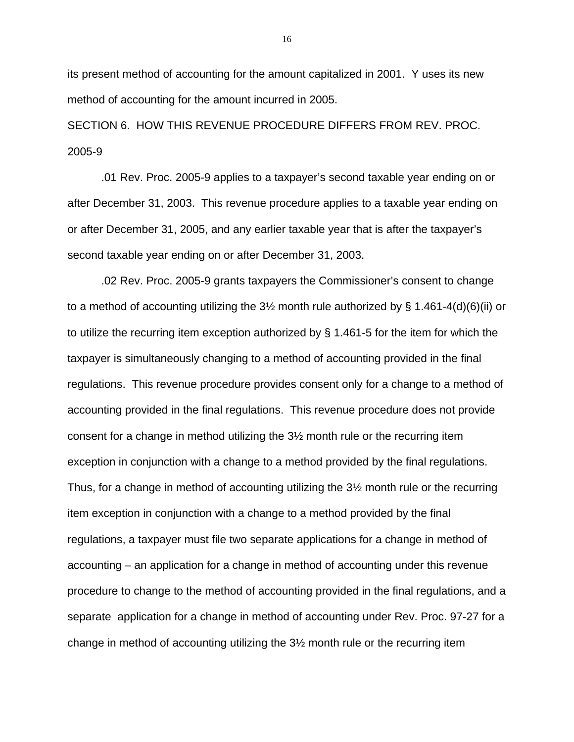its present method of accounting for the amount capitalized in 2001. Y uses its new method of accounting for the amount incurred in 2005.

SECTION 6. HOW THIS REVENUE PROCEDURE DIFFERS FROM REV. PROC. 2005-9

 .01 Rev. Proc. 2005-9 applies to a taxpayer's second taxable year ending on or after December 31, 2003. This revenue procedure applies to a taxable year ending on or after December 31, 2005, and any earlier taxable year that is after the taxpayer's second taxable year ending on or after December 31, 2003.

 .02 Rev. Proc. 2005-9 grants taxpayers the Commissioner's consent to change to a method of accounting utilizing the  $3\frac{1}{2}$  month rule authorized by § 1.461-4(d)(6)(ii) or to utilize the recurring item exception authorized by § 1.461-5 for the item for which the taxpayer is simultaneously changing to a method of accounting provided in the final regulations. This revenue procedure provides consent only for a change to a method of accounting provided in the final regulations. This revenue procedure does not provide consent for a change in method utilizing the 3½ month rule or the recurring item exception in conjunction with a change to a method provided by the final regulations. Thus, for a change in method of accounting utilizing the 3½ month rule or the recurring item exception in conjunction with a change to a method provided by the final regulations, a taxpayer must file two separate applications for a change in method of accounting – an application for a change in method of accounting under this revenue procedure to change to the method of accounting provided in the final regulations, and a separate application for a change in method of accounting under Rev. Proc. 97-27 for a change in method of accounting utilizing the 3½ month rule or the recurring item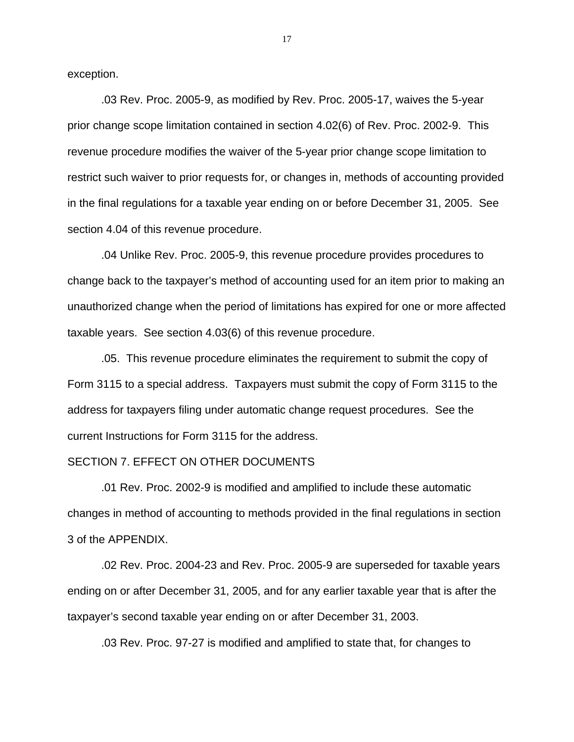exception.

 .03 Rev. Proc. 2005-9, as modified by Rev. Proc. 2005-17, waives the 5-year prior change scope limitation contained in section 4.02(6) of Rev. Proc. 2002-9. This revenue procedure modifies the waiver of the 5-year prior change scope limitation to restrict such waiver to prior requests for, or changes in, methods of accounting provided in the final regulations for a taxable year ending on or before December 31, 2005. See section 4.04 of this revenue procedure.

 .04 Unlike Rev. Proc. 2005-9, this revenue procedure provides procedures to change back to the taxpayer's method of accounting used for an item prior to making an unauthorized change when the period of limitations has expired for one or more affected taxable years. See section 4.03(6) of this revenue procedure.

.05. This revenue procedure eliminates the requirement to submit the copy of Form 3115 to a special address. Taxpayers must submit the copy of Form 3115 to the address for taxpayers filing under automatic change request procedures. See the current Instructions for Form 3115 for the address.

#### SECTION 7. EFFECT ON OTHER DOCUMENTS

 .01 Rev. Proc. 2002-9 is modified and amplified to include these automatic changes in method of accounting to methods provided in the final regulations in section 3 of the APPENDIX.

 .02 Rev. Proc. 2004-23 and Rev. Proc. 2005-9 are superseded for taxable years ending on or after December 31, 2005, and for any earlier taxable year that is after the taxpayer's second taxable year ending on or after December 31, 2003.

.03 Rev. Proc. 97-27 is modified and amplified to state that, for changes to